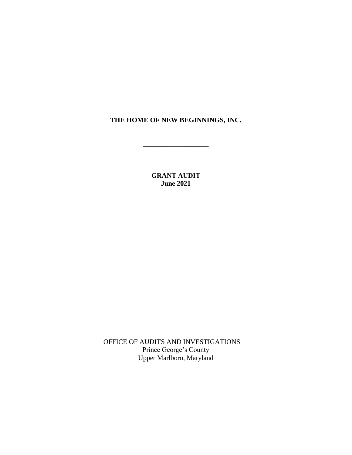#### **THE HOME OF NEW BEGINNINGS, INC.**

**\_\_\_\_\_\_\_\_\_\_\_\_\_\_\_\_\_\_\_**

**GRANT AUDIT June 2021**

OFFICE OF AUDITS AND INVESTIGATIONS Prince George's County Upper Marlboro, Maryland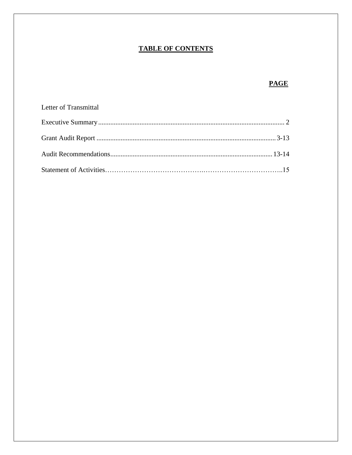# **TABLE OF CONTENTS**

# **PAGE**

| Letter of Transmittal |  |
|-----------------------|--|
|                       |  |
|                       |  |
|                       |  |
|                       |  |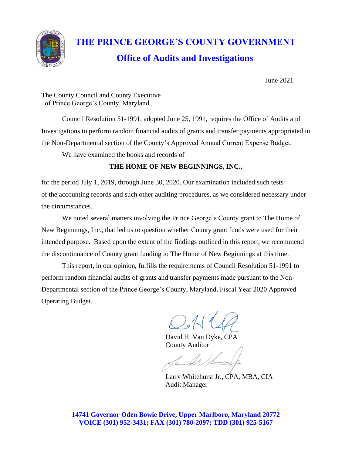

# **THE PRINCE GEORGE'S COUNTY GOVERNMENT Office of Audits and Investigations**

June 2021

The County Council and County Executive of Prince George's County, Maryland

Council Resolution 51-1991, adopted June 25, 1991, requires the Office of Audits and Investigations to perform random financial audits of grants and transfer payments appropriated in the Non-Departmental section of the County's Approved Annual Current Expense Budget.

We have examined the books and records of

### **THE HOME OF NEW BEGINNINGS, INC.,**

for the period July 1, 2019, through June 30, 2020. Our examination included such tests of the accounting records and such other auditing procedures, as we considered necessary under the circumstances.

We noted several matters involving the Prince George's County grant to The Home of New Beginnings, Inc., that led us to question whether County grant funds were used for their intended purpose. Based upon the extent of the findings outlined in this report, we recommend the discontinuance of County grant funding to The Home of New Beginnings at this time.

This report, in our opinion, fulfills the requirements of Council Resolution 51-1991 to perform random financial audits of grants and transfer payments made pursuant to the Non-Departmental section of the Prince George's County, Maryland, Fiscal Year 2020 Approved Operating Budget.

David H. Van Dyke, CPA County Auditor

 Larry Whitehurst Jr., CPA, MBA, CIA Audit Manager

**14741 Governor Oden Bowie Drive, Upper Marlboro, Maryland 20772 VOICE (301) 952-3431; FAX (301) 780-2097; TDD (301) 925-5167**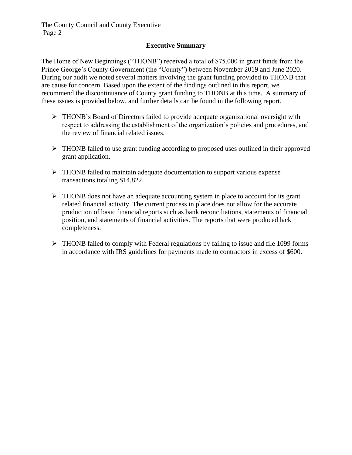#### **Executive Summary**

The Home of New Beginnings ("THONB") received a total of \$75,000 in grant funds from the Prince George's County Government (the "County") between November 2019 and June 2020. During our audit we noted several matters involving the grant funding provided to THONB that are cause for concern. Based upon the extent of the findings outlined in this report, we recommend the discontinuance of County grant funding to THONB at this time. A summary of these issues is provided below, and further details can be found in the following report.

- ➢ THONB's Board of Directors [failed to provide adequate](https://pgccouncil.auditboardapp.com/workpaper?workpaper_id=925&name=04%20-%20Lack%20of%20Organizational%20Oversight) organizational oversight with respect to addressing the establishment of the organization's policies and procedures, and the review of financial related issues.
- ➢ THONB [failed to use grant funding](https://pgccouncil.auditboardapp.com/workpaper?workpaper_id=916&name=01%20-%20Prudent%20use%20of%20Grant%20Funds) according to proposed uses outlined in their approved grant application.
- $\triangleright$  THONB [failed to maintain adequate documentation](https://pgccouncil.auditboardapp.com/workpaper?workpaper_id=924&name=03%20-%20Failure%20to%20maintain%20supporting%20documentation) to support various expense transactions totaling \$14,822.
- ➢ THONB [does not have an adequate accounting system](https://pgccouncil.auditboardapp.com/workpaper?workpaper_id=923&name=02%20-%20Lack%20of%20adequate%20accounting) in place to account for its grant related financial activity. The current process in place does not allow for the accurate production of basic financial reports such as bank reconciliations, statements of financial position, and statements of financial activities. The reports that were produced lack completeness.
- ➢ THONB [failed to comply with Federal regulations](https://pgccouncil.auditboardapp.com/workpaper?workpaper_id=921&name=05%20-%20Non-%20Compliance%20with%20Federal%20Regulations) by failing to issue and file 1099 forms in accordance with IRS guidelines for payments made to contractors in excess of \$600.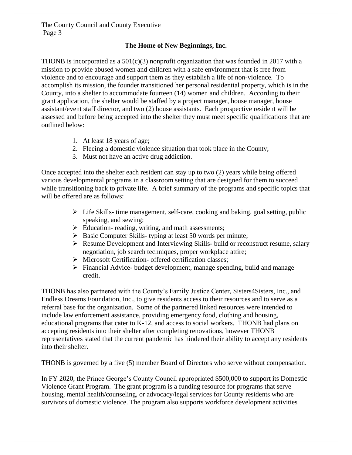#### **The Home of New Beginnings, Inc.**

THONB is incorporated as a  $501(c)(3)$  nonprofit organization that was founded in 2017 with a mission to provide abused women and children with a safe environment that is free from violence and to encourage and support them as they establish a life of non-violence. To accomplish its mission, the founder transitioned her personal residential property, which is in the County, into a shelter to accommodate fourteen (14) women and children. According to their grant application, the shelter would be staffed by a project manager, house manager, house assistant/event staff director, and two (2) house assistants. Each prospective resident will be assessed and before being accepted into the shelter they must meet specific qualifications that are outlined below:

- 1. At least 18 years of age;
- 2. Fleeing a domestic violence situation that took place in the County;
- 3. Must not have an active drug addiction.

Once accepted into the shelter each resident can stay up to two (2) years while being offered various developmental programs in a classroom setting that are designed for them to succeed while transitioning back to private life. A brief summary of the programs and specific topics that will be offered are as follows:

- $\triangleright$  Life Skills- time management, self-care, cooking and baking, goal setting, public speaking, and sewing;
- $\triangleright$  Education-reading, writing, and math assessments;
- ➢ Basic Computer Skills- typing at least 50 words per minute;
- ➢ Resume Development and Interviewing Skills- build or reconstruct resume, salary negotiation, job search techniques, proper workplace attire;
- ➢ Microsoft Certification- offered certification classes;
- ➢ Financial Advice- budget development, manage spending, build and manage credit.

THONB has also partnered with the County's Family Justice Center, Sisters4Sisters, Inc., and Endless Dreams Foundation, Inc., to give residents access to their resources and to serve as a referral base for the organization. Some of the partnered linked resources were intended to include law enforcement assistance, providing emergency food, clothing and housing, educational programs that cater to K-12, and access to social workers. THONB had plans on accepting residents into their shelter after completing renovations, however THONB representatives stated that the current pandemic has hindered their ability to accept any residents into their shelter.

THONB is [governed](https://pgccouncil.auditboardapp.com/download?file_id=4240&name=By%20laws%20and%20Minutes.pdf) by a five (5) member Board of Directors who serve without compensation.

In FY 2020, the Prince George's County Council appropriated \$500,000 to support its Domestic Violence Grant Program. The grant program is a funding resource for programs that serve housing, mental health/counseling, or advocacy/legal services for County residents who are survivors of domestic violence. The program also supports workforce development activities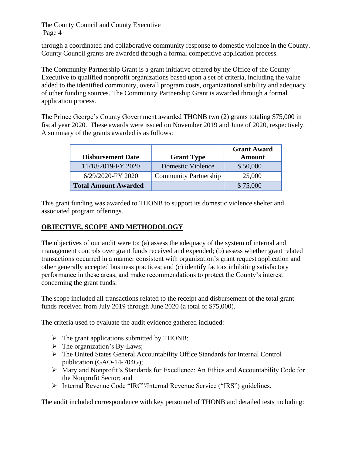through a coordinated and collaborative community response to domestic violence in the County. County Council grants are awarded through a formal competitive application process.

[The Community Partnership Grant](https://www.princegeorgescountymd.gov/918/Community-Partnership-Grants) is a grant initiative offered by the Office of the County Executive to qualified nonprofit organizations based upon a set of criteria, including the value added to the identified community, overall program costs, organizational stability and adequacy of other funding sources. The Community Partnership Grant is awarded through a formal application process.

The Prince George's County Government awarded THONB two (2) grants [totaling \\$75,000](https://pgccouncil.auditboardapp.com/workpaper?workpaper_id=898&name=500.01%20-%20Grant%20Recipt%20Leadsheet) in fiscal year 2020. These awards were issued on November 2019 and June of 2020, respectively. A summary of the grants awarded is as follows:

|                             |                              | <b>Grant Award</b> |
|-----------------------------|------------------------------|--------------------|
| <b>Disbursement Date</b>    | <b>Grant Type</b>            | <b>Amount</b>      |
| 11/18/2019-FY 2020          | Domestic Violence            | \$50,000           |
| 6/29/2020-FY 2020           | <b>Community Partnership</b> | 25,000             |
| <b>Total Amount Awarded</b> |                              |                    |

[This grant funding was awarded to THONB to support its domestic violence shelter and](https://pgccouncil.auditboardapp.com/workpaper?workpaper_id=898&name=500.01%20-%20Grant%20Recipt%20Leadsheet)  [associated program offerings.](https://pgccouncil.auditboardapp.com/workpaper?workpaper_id=898&name=500.01%20-%20Grant%20Recipt%20Leadsheet)

#### **OBJECTIVE, SCOPE AND METHODOLOGY**

The [objectives](https://pgccouncil.auditboardapp.com/workpaper?workpaper_id=817) of our audit were to: (a) assess the adequacy of the system of internal and management controls over grant funds received and expended; (b) assess whether grant related transactions occurred in a manner consistent with organization's grant request application and other generally accepted business practices; and (c) identify factors inhibiting satisfactory performance in these areas, and make recommendations to protect the County's interest concerning the grant funds.

The scope included all transactions related to the receipt and disbursement of the total grant funds received from July 2019 through June 2020 (a total of \$75,000).

The criteria used to evaluate the audit evidence gathered included:

- $\triangleright$  The grant applications submitted by THONB;
- $\triangleright$  The organization's By-Laws;
- ➢ The United States General Accountability Office Standards for Internal Control publication [\(GAO-14-704G\)](https://www.gao.gov/assets/670/665712.pdf);
- ➢ [Maryland Nonprofit's Standards for Excellence: An Ethics and Accountability Code for](https://pgccouncil.auditboardapp.com/download?file_id=4641&name=Maryland%20Nonprofits%20-%20Board%20Excellence%20Handbook.pdf)  [the Nonprofit Sector;](https://pgccouncil.auditboardapp.com/download?file_id=4641&name=Maryland%20Nonprofits%20-%20Board%20Excellence%20Handbook.pdf) and
- ➢ Internal Revenue Code "IRC"/Internal Revenue Service ("IRS") guidelines.

The audit included correspondence with key personnel of THONB and detailed tests including: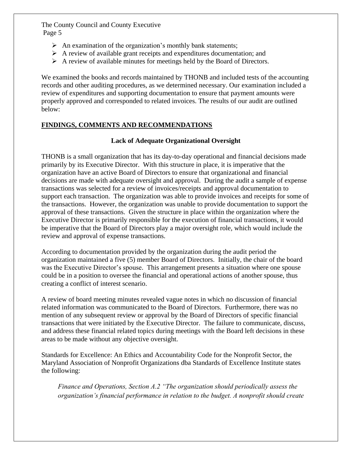- $\triangleright$  An examination of the organization's monthly bank statements;
- ➢ A review of available [grant receipts](https://pgccouncil.auditboardapp.com/workpaper?workpaper_id=898&name=500.01%20-%20Grant%20Recipt%20Leadsheet) and [expenditures documentation;](https://pgccouncil.auditboardapp.com/workpaper?workpaper_id=902&name=600%20-%20Expense%20Analysis%20Leadsheet) and
- ➢ A review of available [minutes for meetings](https://pgccouncil.auditboardapp.com/workpaper?workpaper_id=914&name=370%20-%20Board%20Meeting%20minutes) held by the Board of Directors.

We examined the books and records maintained by THONB and included tests of the accounting records and other auditing procedures, as we determined necessary. Our examination included a review of expenditures and supporting documentation to ensure that payment amounts were properly approved and corresponded to related invoices. The results of our audit are outlined below:

#### **FINDINGS, COMMENTS AND RECOMMENDATIONS**

#### **[Lack of Adequate Organizational Oversight](https://pgccouncil.auditboardapp.com/workpaper?workpaper_id=925)**

THONB is a small organization that has its day-to-day operational and financial decisions made primarily by its Executive Director. With this structure in place, it is imperative that the organization have an active Board of Directors to ensure that organizational and financial decisions are made with adequate oversight and approval. During the audit a sample of expense transactions was selected for a review of invoices/receipts and approval documentation to support each transaction. The organization was able to provide invoices and receipts for some of the transactions. However, the organization was unable to provide documentation to support the approval of these transactions. Given the structure in place within the organization where the Executive Director is primarily responsible for the execution of financial transactions, it would be imperative that the Board of Directors play a major oversight role, which would include the review and approval of expense transactions.

According to documentation provided by the organization during the audit period the organization maintained a [five \(5\) member Board of Directors.](https://pgccouncil.auditboardapp.com/sh/opsaudits/workflow/76/objective/1741) [Initially, the chair of the board](https://pgccouncil.auditboardapp.com/download?file_id=4240&name=By%20laws%20and%20Minutes.pdf)  [was the Executive Director's spouse.](https://pgccouncil.auditboardapp.com/download?file_id=4240&name=By%20laws%20and%20Minutes.pdf) This arrangement presents a situation where one spouse could be in a position to oversee the financial and operational actions of another spouse, thus creating a conflict of interest scenario.

A [review of board meeting](https://pgccouncil.auditboardapp.com/workpaper?workpaper_id=914&name=370%20-%20Board%20Meeting%20minutes) minutes revealed vague notes in which no discussion of financial related information was communicated to the Board of Directors. Furthermore, there was no mention of any subsequent review or approval by the Board of Directors of specific financial transactions that were initiated by the Executive Director. The failure to communicate, discuss, and address these financial related topics during meetings with the Board left decisions in these areas to be made without any objective oversight.

[Standards for Excellence: An Ethics and Accountability Code for the Nonprofit Sector, the](https://pgccouncil.auditboardapp.com/download?file_id=4641&name=Maryland%20Nonprofits%20-%20Board%20Excellence%20Handbook.pdf)  [Maryland Association of Nonprofit Organizations](https://pgccouncil.auditboardapp.com/download?file_id=4641&name=Maryland%20Nonprofits%20-%20Board%20Excellence%20Handbook.pdf) dba Standards of Excellence Institute states the following:

 *Finance and Operations, Section A.2 "The organization should periodically assess the organization's financial performance in relation to the budget. A nonprofit should create*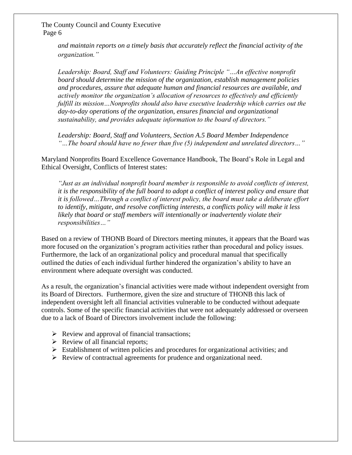> *and maintain reports on a timely basis that accurately reflect the financial activity of the organization."*

*Leadership: Board, Staff and Volunteers: Guiding Principle "…An effective nonprofit board should determine the mission of the organization, establish management policies and procedures, assure that adequate human and financial resources are available, and actively monitor the organization's allocation of resources to effectively and efficiently fulfill its mission…Nonprofits should also have executive leadership which carries out the day-to-day operations of the organization, ensures financial and organizational sustainability, and provides adequate information to the board of directors."*

*Leadership: Board, Staff and Volunteers, Section A.5 Board Member Independence "…The board should have no fewer than five (5) independent and unrelated directors…"*

[Maryland Nonprofits Board Excellence Governance Handbook,](https://pgccouncil.auditboardapp.com/download?file_id=4641&name=Maryland%20Nonprofits%20-%20Board%20Excellence%20Handbook.pdf) The Board's Role in Legal and Ethical Oversight, Conflicts of Interest states:

*"Just as an individual nonprofit board member is responsible to avoid conflicts of interest, it is the responsibility of the full board to adopt a conflict of interest policy and ensure that it is followed…Through a conflict of interest policy, the board must take a deliberate effort to identify, mitigate, and resolve conflicting interests, a conflicts policy will make it less likely that board or staff members will intentionally or inadvertently violate their responsibilities…"*

Based on a review of THONB Board of Directors [meeting minutes,](https://pgccouncil.auditboardapp.com/workpaper?workpaper_id=914&name=370%20-%20Board%20Meeting%20minutes) it appears that the Board was more focused on the organization's program activities rather than procedural and policy issues. Furthermore, the lack of an organizational policy and procedural manual that specifically outlined the duties of each individual further hindered the organization's ability to have an environment where adequate oversight was conducted.

As a result, the organization's financial activities were made without independent oversight from its Board of Directors. Furthermore, given the size and structure of THONB this lack of independent oversight left all financial activities vulnerable to be conducted without adequate controls. Some of the specific financial activities that were not adequately addressed or overseen due to a lack of Board of Directors involvement include the following:

- $\triangleright$  Review and approval of financial transactions;
- $\triangleright$  Review of all financial reports;
- $\triangleright$  Establishment of written policies and procedures for organizational activities; and
- ➢ Review of contractual agreements for prudence and organizational need.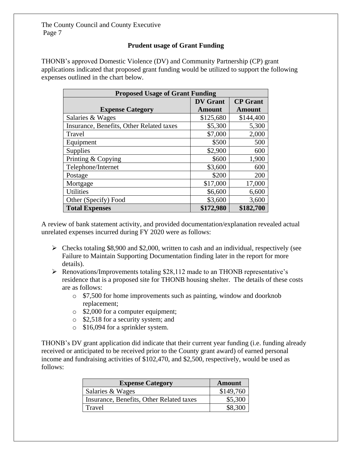#### **Prudent usage [of Grant Funding](https://pgccouncil.auditboardapp.com/workpaper?workpaper_id=916)**

THONB's approved [Domestic Violence \(DV\)](https://pgccouncil.auditboardapp.com/download?file_id=4236&name=Domestic%20Violence) and [Community Partnership \(CP\)](https://pgccouncil.auditboardapp.com/download?file_id=4237&name=Community%20Partnership) grant applications indicated that proposed grant funding would be utilized to support the following expenses outlined in the chart below.

| <b>Proposed Usage of Grant Funding</b>   |                 |                 |  |
|------------------------------------------|-----------------|-----------------|--|
|                                          | <b>DV</b> Grant | <b>CP</b> Grant |  |
| <b>Expense Category</b>                  | <b>Amount</b>   | <b>Amount</b>   |  |
| Salaries & Wages                         | \$125,680       | \$144,400       |  |
| Insurance, Benefits, Other Related taxes | \$5,300         | 5,300           |  |
| Travel                                   | \$7,000         | 2,000           |  |
| Equipment                                | \$500           | 500             |  |
| Supplies                                 | \$2,900         | 600             |  |
| Printing & Copying                       | \$600           | 1,900           |  |
| Telephone/Internet                       | \$3,600         | 600             |  |
| Postage                                  | \$200           | 200             |  |
| Mortgage                                 | \$17,000        | 17,000          |  |
| <b>Utilities</b>                         | \$6,600         | 6,600           |  |
| Other (Specify) Food                     | \$3,600         | 3,600           |  |
| <b>Total Expenses</b>                    | \$172,980       | \$182,700       |  |

A review of bank statement activity, and provided documentation/explanation revealed actual unrelated expenses incurred during FY 2020 were as follows:

- $\triangleright$  Checks totaling \$8,900 and \$2,000, written to cash and an individual, respectively (see Failure to Maintain Supporting Documentation finding later in the report for more details).
- ➢ Renovations/Improvements totaling \$28,112 made to an THONB representative's residence that is a proposed site for THONB housing shelter. The details of these costs are as follows:
	- o \$7,500 for home improvements such as painting, [window](https://pgccouncil.auditboardapp.com/download?file_id=4737&name=Sample31%20invoice.pptx) and [doorknob](https://pgccouncil.auditboardapp.com/download?file_id=4736&name=Sample2%20invoice.pptx)  [replacement;](https://pgccouncil.auditboardapp.com/download?file_id=4736&name=Sample2%20invoice.pptx)
	- o [\\$2,000](https://pgccouncil.auditboardapp.com/download?file_id=4730&name=Sample17%20invoice.pptx) for a computer equipment;
	- o [\\$2,518](https://pgccouncil.auditboardapp.com/download?file_id=4728&name=Sample3%20invoice.pptx) for a security system; and
	- o [\\$16,094](https://pgccouncil.auditboardapp.com/download?file_id=4738&name=Sample15%20invoice.pptx) for a sprinkler system.

THONB's [DV grant application](https://pgccouncil.auditboardapp.com/download?file_id=4236&name=Domestic%20Violence) did indicate that their current year funding (i.e. funding already received or anticipated to be received prior to the County grant award) of earned personal income and fundraising activities of \$102,470, and \$2,500, respectively, would be used as follows:

| <b>Expense Category</b>                  | <b>Amount</b> |
|------------------------------------------|---------------|
| Salaries & Wages                         | \$149,760     |
| Insurance, Benefits, Other Related taxes | \$5,300       |
| Travel                                   | \$8,300       |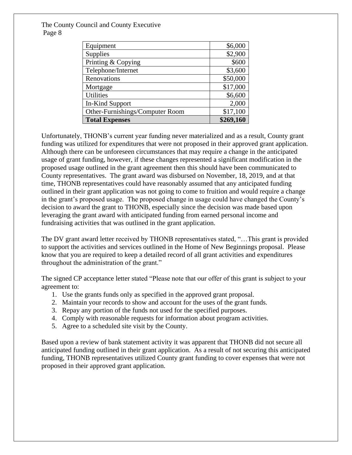| Equipment                       | \$6,000   |
|---------------------------------|-----------|
| Supplies                        | \$2,900   |
| Printing & Copying              | \$600     |
| Telephone/Internet              | \$3,600   |
| Renovations                     | \$50,000  |
| Mortgage                        | \$17,000  |
| <b>Utilities</b>                | \$6,600   |
| In-Kind Support                 | 2,000     |
| Other-Furnishings/Computer Room | \$17,100  |
| <b>Total Expenses</b>           | \$269,160 |

Unfortunately, THONB's current year funding never materialized and as a result, County grant funding was utilized for expenditures that were not proposed in their approved grant application. Although there can be unforeseen circumstances that may require a change in the anticipated usage of grant funding, however, if these changes represented a significant modification in the proposed usage outlined in the grant agreement then this should have been communicated to County representatives. The grant award was disbursed on [November, 18, 2019,](https://pgccouncil.auditboardapp.com/download?file_id=4302&name=County%20Recipt%20Banck%20statement%201.pdf) and at that time, THONB representatives could have reasonably assumed that any anticipated funding outlined in their grant application was not going to come to fruition and would require a change in the grant's proposed usage. The proposed change in usage could have changed the County's decision to award the grant to THONB, especially since the decision was made based upon leveraging the grant award with anticipated funding from earned personal income and fundraising activities that was outlined in the grant application.

The DV [grant award letter](https://pgccouncil.auditboardapp.com/download?file_id=4244&name=HONB%20Nov19.pdf) received by THONB representatives stated, "...This grant is provided to support the activities and services outlined in the Home of New Beginnings proposal. Please know that you are required to keep a detailed record of all grant activities and expenditures throughout the administration of the grant."

The signed [CP acceptance letter](https://pgccouncil.auditboardapp.com/download?file_id=4243&name=HONB%20May%2020.pdf) stated "Please note that our offer of this grant is subject to your agreement to:

- 1. Use the grants funds only as specified in the approved grant proposal.
- 2. Maintain your records to show and account for the uses of the grant funds.
- 3. Repay any portion of the funds not used for the specified purposes.
- 4. Comply with reasonable requests for information about program activities.
- 5. Agree to a scheduled site visit by the County.

Based upon a review of [bank statement activity](https://pgccouncil.auditboardapp.com/workpaper?workpaper_id=902&name=600%20-%20Expense%20Analysis%20Leadsheet) it was apparent that THONB did not secure all anticipated funding outlined in their grant application. As a result of not securing this anticipated funding, THONB representatives utilized County grant funding to cover expenses that were not proposed in their approved grant application.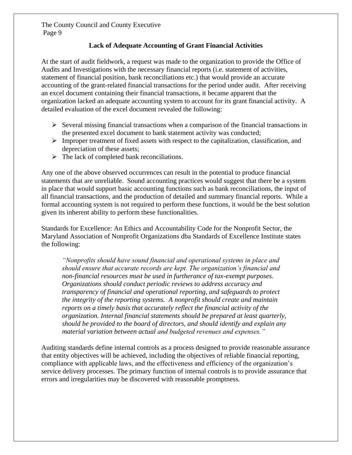#### **[Lack of Adequate Accounting of Grant Financial Activities](https://pgccouncil.auditboardapp.com/workpaper?workpaper_id=923)**

At the start of audit fieldwork, a request was made to the organization to provide the Office of Audits and Investigations with the necessary financial reports (i.e. statement of activities, statement of financial position, bank reconciliations etc.) that would provide an accurate accounting of the grant-related financial transactions for the period under audit. After receiving an [excel document](https://pgccouncil.auditboardapp.com/download?file_id=4826&name=Financials%20Statements.xlsx) containing their financial transactions, it became apparent that the organization lacked an adequate accounting system to account for its grant financial activity. A detailed evaluation of the excel document revealed the following:

- ➢ Several missing financial transactions when a comparison of the financial transactions in the presented excel document to bank statement activity was conducted;
- $\triangleright$  Improper treatment of fixed assets with respect to the capitalization, classification, and depreciation of these assets;
- $\triangleright$  The lack of completed bank reconciliations.

Any one of the above observed occurrences can result in the potential to produce financial statements that are unreliable. Sound accounting practices would suggest that there be a system in place that would support basic accounting functions such as bank reconciliations, the input of all financial transactions, and the production of detailed and summary financial reports. While a formal accounting system is not required to perform these functions, it would be the best solution given its inherent ability to perform these functionalities.

[Standards for Excellence: An Ethics and Accountability Code for the Nonprofit Sector, the](https://pgccouncil.auditboardapp.com/download?file_id=4641&name=Maryland%20Nonprofits%20-%20Board%20Excellence%20Handbook.pdf)  [Maryland Association of Nonprofit Organizations](https://pgccouncil.auditboardapp.com/download?file_id=4641&name=Maryland%20Nonprofits%20-%20Board%20Excellence%20Handbook.pdf) dba Standards of Excellence Institute states the following:

*"Nonprofits should have sound financial and operational systems in place and should ensure that accurate records are kept. The organization's financial and non-financial resources must be used in furtherance of tax-exempt purposes. Organizations should conduct periodic reviews to address accuracy and transparency of financial and operational reporting, and safeguards to protect the integrity of the reporting systems. A nonprofit should create and maintain reports on a timely basis that accurately reflect the financial activity of the organization. Internal financial statements should be prepared at least quarterly, should be provided to the board of directors, and should identify and explain any material variation between actual and budgeted revenues and expenses."*

Auditing standards define internal controls as a process designed to provide reasonable assurance that entity objectives will be achieved, including the objectives of reliable financial reporting, compliance with applicable laws, and the effectiveness and efficiency of the organization's service delivery processes. The primary function of internal controls is to provide assurance that errors and irregularities may be discovered with reasonable promptness.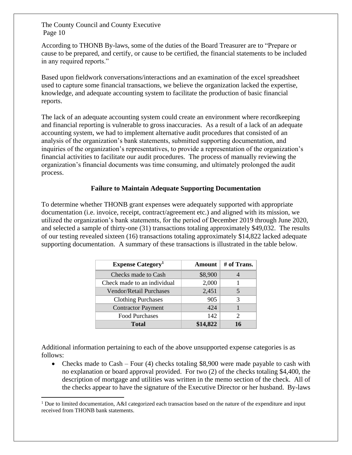$\overline{a}$ 

According to THONB By-laws, some of the duties of the Board Treasurer are to "Prepare or cause to be prepared, and certify, or cause to be certified, the financial statements to be included in any required reports."

Based upon fieldwork [conversations/interactions](https://pgccouncil.auditboardapp.com/sh/opsaudits/workflow/76/objective/1737) and an examination of the excel spreadsheet used to capture some financial transactions, we believe the organization lacked the expertise, knowledge, and adequate accounting system to facilitate the production of basic financial reports.

The lack of an adequate accounting system could create an environment where recordkeeping and financial reporting is vulnerable to gross inaccuracies. As a result of a lack of an adequate accounting system, we had to implement alternative audit procedures that consisted of an analysis of the organization's bank statements, submitted supporting documentation, and inquiries of the organization's representatives, to provide a representation of the organization's financial activities to facilitate our audit procedures. The process of manually reviewing the organization's financial documents was time consuming, and ultimately prolonged the audit process.

#### **[Failure to Maintain Adequate Supporting Documentation](https://pgccouncil.auditboardapp.com/workpaper?workpaper_id=924)**

To determine whether THONB grant expenses were adequately supported with appropriate documentation (i.e. invoice, receipt, contract/agreement etc.) and aligned with its mission, we utilized the organization's bank statements, for the period of [December 2019](https://pgccouncil.auditboardapp.com/sh/opsaudits/workflow/76/objective/1743) through [June 2020,](https://pgccouncil.auditboardapp.com/sh/opsaudits/workflow/76/objective/1743) and selected a sample of thirty-one (31) transactions totaling approximately [\\$49,032.](https://pgccouncil.auditboardapp.com/sh/opsaudits/workflow/76/objective/1744) The results of our testing revealed sixteen (16) transactions totaling approximately [\\$14,822](https://pgccouncil.auditboardapp.com/sh/opsaudits/workflow/76/objective/1751) lacked adequate supporting documentation. A summary of these transactions is illustrated in the table below.

| <b>Expense Category</b> <sup>1</sup> | Amount   | # of Trans. |
|--------------------------------------|----------|-------------|
| Checks made to Cash                  | \$8,900  |             |
| Check made to an individual          | 2,000    |             |
| Vendor/Retail Purchases              | 2,451    |             |
| <b>Clothing Purchases</b>            | 905      | 3           |
| <b>Contractor Payment</b>            | 424      |             |
| <b>Food Purchases</b>                | 142      | 2           |
| Total                                | \$14,822 | 16          |

Additional information pertaining to each of the above unsupported expense categories is as follows:

• Checks made to Cash – Four (4) checks totaling \$8,900 were made payable to cash with no explanation or board approval provided. For two (2) of the checks totaling \$4,400, the description of [mortgage](https://pgccouncil.auditboardapp.com/download?file_id=5192&name=Sample6%20invoice.pptx) and [utilities](https://pgccouncil.auditboardapp.com/download?file_id=5193&name=Sample18%20invoice.pptx) was written in the memo section of the check. All of the checks appear to have the signature of the Executive Director or her husband. [By-laws](https://pgccouncil.auditboardapp.com/download?file_id=4240&name=By%20laws%20and%20Minutes.pdf)

<sup>&</sup>lt;sup>1</sup> Due to limited documentation, A&I categorized each transaction based on the nature of the expenditure and input received from THONB bank statements.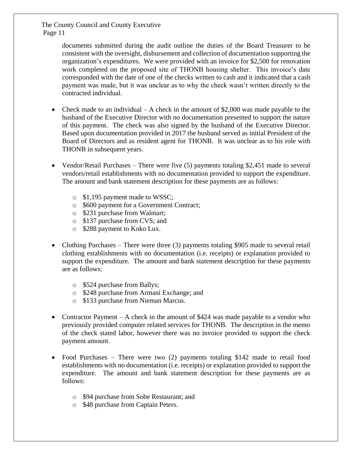> documents submitted during the audit outline the duties of the Board Treasurer to be consistent with the oversight, disbursement and collection of documentation supporting the organization's expenditures. We were provided with an [invoice](https://pgccouncil.auditboardapp.com/download?file_id=4743&name=Sample27%20invoice.pptx) for \$2,500 for renovation work completed on the proposed site of THONB housing shelter. This invoice's date corresponded with the date of one of the checks written to cash and it indicated that a cash payment was made, but it was unclear as to why the check wasn't written directly to the contracted individual.

- Check made to an individual A check in the amount of  $$2,000$  was made payable to the husband of the Executive Director with no documentation presented to support the nature of this payment. The [check](https://pgccouncil.auditboardapp.com/download?file_id=4725&name=Sample26%20invoice.pptx) was also signed by the husband of the Executive Director. Based upon [documentation](https://pgccouncil.auditboardapp.com/download?file_id=4240&name=By%20laws%20and%20Minutes.pdf) provided in 2017 the husband served as initial President of the Board of Directors and as resident agent for THONB. It was unclear as to his role with THONB in subsequent years.
- Vendor/Retail Purchases There were five (5) payments totaling \$2,451 made to several vendors/retail establishments with [no documentation provided](https://pgccouncil.auditboardapp.com/workpaper?workpaper_id=902&name=600%20-%20Expense%20Analysis%20Leadsheet) to support the expenditure. The amount and bank statement description for these payments are as follows:
	- o \$1,195 payment made to WSSC;
	- o \$600 payment for a Government Contract;
	- o \$231 purchase from Walmart;
	- o \$137 purchase from CVS; and
	- o \$288 payment to Koko Lux.
- Clothing Purchases There were three (3) payments totaling \$905 made to several retail clothing establishments with [no documentation](https://pgccouncil.auditboardapp.com/workpaper?workpaper_id=902&name=600%20-%20Expense%20Analysis%20Leadsheet) (i.e. receipts) or explanation provided to support the expenditure. The amount and bank statement description for these payments are as follows:
	- o \$524 purchase from Ballys;
	- o \$248 purchase from Armani Exchange; and
	- o \$133 purchase from Nieman Marcus.
- Contractor Payment A [check](https://pgccouncil.auditboardapp.com/download?file_id=4735&name=Sample24%20invoice.pptx) in the amount of \$424 was made payable to a vendor who previously provided computer related services for THONB. The description in the memo of the check stated labor, however there was no invoice provided to support the check payment amount.
- Food Purchases There were two (2) payments totaling \$142 made to retail food establishments with [no documentation](https://pgccouncil.auditboardapp.com/workpaper?workpaper_id=902&name=600%20-%20Expense%20Analysis%20Leadsheet) (i.e. receipts) or explanation provided to support the expenditure. The amount and bank statement description for these payments are as follows:
	- o \$94 purchase from Sobe Restaurant; and
	- o \$48 purchase from Captain Peters.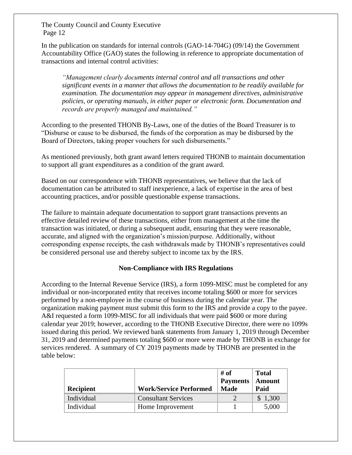In the publication on standards for internal controls (GAO-14-704G) (09/14) the Government Accountability Office (GAO) states the following in reference to appropriate documentation of transactions and internal control activities:

*"Management clearly documents internal control and all transactions and other significant events in a manner that allows the documentation to be readily available for examination. The documentation may appear in management directives, administrative policies, or operating manuals, in either paper or electronic form. Documentation and records are properly managed and maintained."*

According to the presented THONB By-Laws, one of the duties of the Board Treasurer is to "Disburse or cause to be disbursed, the funds of the corporation as may be disbursed by the Board of Directors, taking proper vouchers for such disbursements."

As mentioned previously, both grant award letters required THONB to maintain documentation to support all grant expenditures as a condition of the grant award.

Based on our correspondence with THONB representatives, we believe that the lack of documentation can be attributed to staff inexperience, a lack of expertise in the area of best accounting practices, and/or possible questionable expense transactions.

The failure to maintain adequate documentation to support grant transactions prevents an effective detailed review of these transactions, either from management at the time the transaction was initiated, or during a subsequent audit, ensuring that they were reasonable, accurate, and aligned with the organization's mission/purpose. Additionally, without corresponding expense receipts, the cash withdrawals made by THONB's representatives could be considered personal use and thereby subject to income tax by the IRS.

#### **[Non-Compliance with IRS Regulations](https://pgccouncil.auditboardapp.com/workpaper?workpaper_id=921)**

According to the Internal Revenue Service (IRS), a form 1099-MISC must be completed for any individual or non-incorporated entity that receives income totaling \$600 or more for services performed by a non-employee in the course of business during the calendar year. The organization making payment must submit this form to the IRS and provide a copy to the payee. A&I requested a form 1099-MISC for all individuals that were paid \$600 or more during calendar year 2019; however, according to the THONB Executive Director, there were no 1099s issued during this period. We reviewed bank statements from January 1, 2019 through December 31, 2019 and determined payments totaling \$600 or more were made by THONB in exchange for services rendered. A summary of CY 2019 payments made by THONB are presented in the table below:

| <b>Recipient</b> | <b>Work/Service Performed</b> | # of<br><b>Payments</b><br><b>Made</b> | <b>Total</b><br><b>Amount</b><br>Paid |
|------------------|-------------------------------|----------------------------------------|---------------------------------------|
| Individual       | <b>Consultant Services</b>    |                                        | \$1,300                               |
| Individual       | Home Improvement              |                                        | 5,000                                 |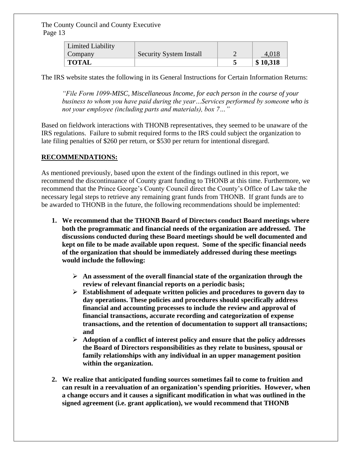| Limited Liability |                                |          |
|-------------------|--------------------------------|----------|
| Company           | <b>Security System Install</b> | 4,018    |
| <b>TOTAL</b>      |                                | \$10,318 |

The IRS website states the following in its General Instructions for Certain Information Returns:

*"File Form 1099-MISC, Miscellaneous Income, for each person in the course of your business to whom you have paid during the year…Services performed by someone who is not your employee (including parts and materials), box 7…"* 

Based on fieldwork interactions with THONB representatives, they seemed to be unaware of the IRS regulations. Failure to submit required forms to the IRS could subject the organization to late filing penalties of \$260 per return, or \$530 per return for intentional disregard.

#### **RECOMMENDATIONS:**

As mentioned previously, based upon the extent of the findings outlined in this report, we recommend the discontinuance of County grant funding to THONB at this time. Furthermore, we recommend that the Prince George's County Council direct the County's Office of Law take the necessary legal steps to retrieve any remaining grant funds from THONB. If grant funds are to be awarded to THONB in the future, the following recommendations should be implemented:

- **1. [We recommend](https://pgccouncil.auditboardapp.com/workpaper?workpaper_id=925&name=04%20-%20Lack%20of%20Organizational%20Oversight) that the THONB Board of Directors conduct Board meetings where both the programmatic and financial needs of the organization are addressed. The discussions conducted during these Board meetings should be well documented and kept on file to be made available upon request. Some of the specific financial needs of the organization that should be immediately addressed during these meetings would include the following:**
	- ➢ **An assessment of the overall financial state of the organization through the review of relevant financial reports on a periodic basis;**
	- ➢ **Establishment of adequate written policies and procedures to govern day to day operations. These policies and procedures should specifically address financial and accounting processes to include the review and approval of financial transactions, accurate recording and categorization of expense transactions, and the retention of documentation to support all transactions; and**
	- ➢ **Adoption of a conflict of interest policy and ensure that the policy addresses the Board of Directors responsibilities as they relate to business, spousal or family relationships with any individual in an upper management position within the organization.**
- **2. We realize that anticipated funding sources sometimes fail to come to fruition and can result in a reevaluation of an organization's spending priorities. However, when a change occurs and it causes a significant modification in what was outlined in the signed agreement (i.e. grant application), [we would recommend](https://pgccouncil.auditboardapp.com/workpaper?workpaper_id=916&name=01%20-%20Prudent%20use%20of%20Grant%20Funds) that THONB**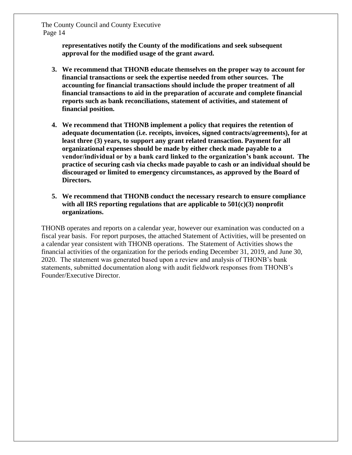> **representatives notify the County of the modifications and seek subsequent approval for the modified usage of the grant award.**

- **3. [We recommend](https://pgccouncil.auditboardapp.com/workpaper?workpaper_id=923&name=02%20-%20Lack%20of%20adequate%20accounting) that THONB educate themselves on the proper way to account for financial transactions or seek the expertise needed from other sources. The accounting for financial transactions should include the proper treatment of all financial transactions to aid in the preparation of accurate and complete financial reports such as bank reconciliations, statement of activities, and statement of financial position.**
- **4. [We recommend](https://pgccouncil.auditboardapp.com/workpaper?workpaper_id=924&name=03%20-%20Failure%20to%20maintain%20supporting%20documentation) that THONB implement a policy that requires the retention of adequate documentation (i.e. receipts, invoices, signed contracts/agreements), for at least three (3) years, to support any grant related transaction. Payment for all organizational expenses should be made by either check made payable to a vendor/individual or by a bank card linked to the organization's bank account. The practice of securing cash via checks made payable to cash or an individual should be discouraged or limited to emergency circumstances, as approved by the Board of Directors.**
- **5. [We recommend](https://pgccouncil.auditboardapp.com/workpaper?workpaper_id=921&name=05%20-%20Non-%20Compliance%20with%20Federal%20Regulations) that THONB conduct the necessary research to ensure compliance with all IRS reporting regulations that are applicable to 501(c)(3) nonprofit organizations.**

THONB operates and reports on a calendar year, however our examination was conducted on a fiscal year basis. For report purposes, the attached Statement of Activities, will be presented on a calendar year consistent with THONB operations. The Statement of Activities shows the financial activities of the organization for the periods ending December 31, 2019, and June 30, 2020. The statement was generated based upon a review and analysis of THONB's bank statements, submitted documentation along with audit fieldwork responses from THONB's Founder/Executive Director.